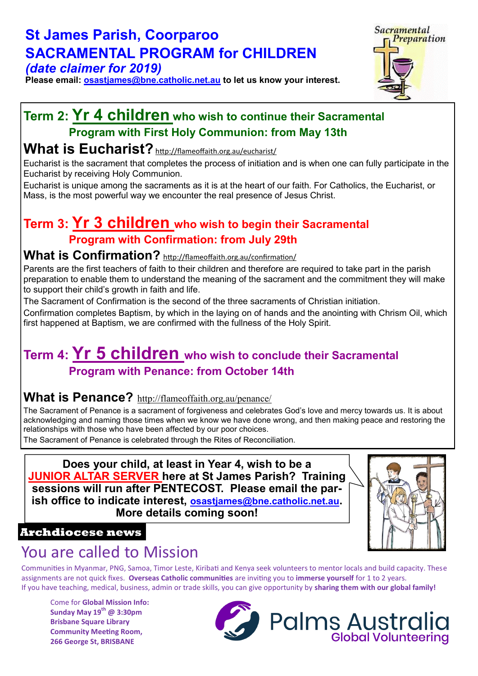#### **St James Parish, Coorparoo SACRAMENTAL PROGRAM for CHILDREN** *(date claimer for 2019)*

**Please email: [osastjames@bne.catholic.net.au](mailto:osastjames@bne.catholic.net.au) to let us know your interest.**

# Sacramental Preparation

#### **Term 2: Yr 4 children who wish to continue their Sacramental Program with First Holy Communion: from May 13th**

#### **[What is Eucharist?](http://flameoffaith.org.au/eucharist/#what-is-eucharist)**<http://flameoffaith.org.au/eucharist/>

Eucharist is the sacrament that completes the process of initiation and is when one can fully participate in the Eucharist by receiving Holy Communion.

Eucharist is unique among the sacraments as it is at the heart of our faith. For Catholics, the Eucharist, or Mass, is the most powerful way we encounter the real presence of Jesus Christ.

## **Term 3: Yr 3 children who wish to begin their Sacramental Program with Confirmation: from July 29th**

#### [What is Confirmation?](http://flameoffaith.org.au/eucharist/#what-is-eucharist) <http://flameoffaith.org.au/confirmation/>

Parents are the first teachers of faith to their children and therefore are required to take part in the parish preparation to enable them to understand the meaning of the sacrament and the commitment they will make to support their child's growth in faith and life.

The Sacrament of Confirmation is the second of the three sacraments of Christian initiation.

Confirmation completes Baptism, by which in the laying on of hands and the anointing with Chrism Oil, which first happened at Baptism, we are confirmed with the fullness of the Holy Spirit.

## **Term 4: Yr 5 children who wish to conclude their Sacramental Program with Penance: from October 14th**

#### **[What is Penance?](http://flameoffaith.org.au/penance/#what-is-penance)** <http://flameoffaith.org.au/penance/>

The Sacrament of Penance is a sacrament of forgiveness and celebrates God's love and mercy towards us. It is about acknowledging and naming those times when we know we have done wrong, and then making peace and restoring the relationships with those who have been affected by our poor choices.

The Sacrament of Penance is celebrated through the Rites of Reconciliation.

**Does your child, at least in Year 4, wish to be a JUNIOR ALTAR SERVER here at St James Parish? Training sessions will run after PENTECOST. Please email the parish office to indicate interest, [osastjames@bne.catholic.net.au](mailto:osastjames@bne.catholic.net.au). More details coming soon!**



#### **Archdiocese news**

# You are called to Mission

Communities in Myanmar, PNG, Samoa, Timor Leste, Kiribati and Kenya seek volunteers to mentor locals and build capacity. These assignments are not quick fixes. **Overseas Catholic communities** are inviting you to **immerse yourself** for 1 to 2 years. If you have teaching, medical, business, admin or trade skills, you can give opportunity by **sharing them with our global family!** 

Come for **Global Mission Info: Sunday May 19th @ 3:30pm Brisbane Square Library Community Meeting Room, 266 George St, BRISBANE**